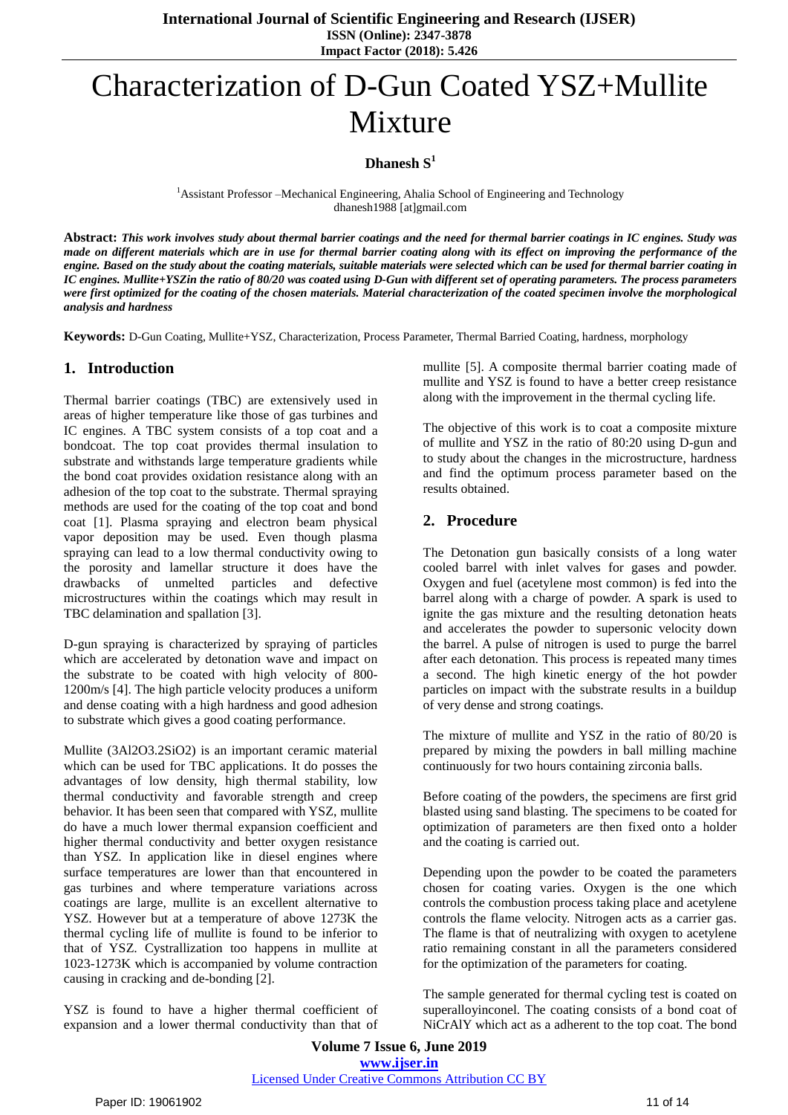**International Journal of Scientific Engineering and Research (IJSER) ISSN (Online): 2347-3878 Impact Factor (2018): 5.426**

# Characterization of D-Gun Coated YSZ+Mullite Mixture

## **Dhanesh S 1**

<sup>1</sup>Assistant Professor –Mechanical Engineering, Ahalia School of Engineering and Technology dhanesh1988 [at]gmail.com

Abstract: This work involves study about thermal barrier coatings and the need for thermal barrier coatings in IC engines. Study was made on different materials which are in use for thermal barrier coating along with its effect on improving the performance of the engine. Based on the study about the coating materials, suitable materials were selected which can be used for thermal barrier coating in IC engines. Mullite+YSZin the ratio of 80/20 was coated using D-Gun with different set of operating parameters. The process parameters were first optimized for the coating of the chosen materials. Material characterization of the coated specimen involve the morphological *analysis and hardness*

**Keywords:** D-Gun Coating, Mullite+YSZ, Characterization, Process Parameter, Thermal Barried Coating, hardness, morphology

## **1. Introduction**

Thermal barrier coatings (TBC) are extensively used in areas of higher temperature like those of gas turbines and IC engines. A TBC system consists of a top coat and a bondcoat. The top coat provides thermal insulation to substrate and withstands large temperature gradients while the bond coat provides oxidation resistance along with an adhesion of the top coat to the substrate. Thermal spraying methods are used for the coating of the top coat and bond coat [1]. Plasma spraying and electron beam physical vapor deposition may be used. Even though plasma spraying can lead to a low thermal conductivity owing to the porosity and lamellar structure it does have the drawbacks of unmelted particles and defective microstructures within the coatings which may result in TBC delamination and spallation [3].

D-gun spraying is characterized by spraying of particles which are accelerated by detonation wave and impact on the substrate to be coated with high velocity of 800- 1200m/s [4]. The high particle velocity produces a uniform and dense coating with a high hardness and good adhesion to substrate which gives a good coating performance.

Mullite (3Al2O3.2SiO2) is an important ceramic material which can be used for TBC applications. It do posses the advantages of low density, high thermal stability, low thermal conductivity and favorable strength and creep behavior. It has been seen that compared with YSZ, mullite do have a much lower thermal expansion coefficient and higher thermal conductivity and better oxygen resistance than YSZ. In application like in diesel engines where surface temperatures are lower than that encountered in gas turbines and where temperature variations across coatings are large, mullite is an excellent alternative to YSZ. However but at a temperature of above 1273K the thermal cycling life of mullite is found to be inferior to that of YSZ. Cystrallization too happens in mullite at 1023-1273K which is accompanied by volume contraction causing in cracking and de-bonding [2].

YSZ is found to have a higher thermal coefficient of expansion and a lower thermal conductivity than that of mullite [5]. A composite thermal barrier coating made of mullite and YSZ is found to have a better creep resistance along with the improvement in the thermal cycling life.

The objective of this work is to coat a composite mixture of mullite and YSZ in the ratio of 80:20 using D-gun and to study about the changes in the microstructure, hardness and find the optimum process parameter based on the results obtained.

## **2. Procedure**

The Detonation gun basically consists of a long water cooled barrel with inlet valves for gases and powder. Oxygen and fuel (acetylene most common) is fed into the barrel along with a charge of powder. A spark is used to ignite the gas mixture and the resulting detonation heats and accelerates the powder to supersonic velocity down the barrel. A pulse of nitrogen is used to purge the barrel after each detonation. This process is repeated many times a second. The high kinetic energy of the hot powder particles on impact with the substrate results in a buildup of very dense and strong coatings.

The mixture of mullite and YSZ in the ratio of 80/20 is prepared by mixing the powders in ball milling machine continuously for two hours containing zirconia balls.

Before coating of the powders, the specimens are first grid blasted using sand blasting. The specimens to be coated for optimization of parameters are then fixed onto a holder and the coating is carried out.

Depending upon the powder to be coated the parameters chosen for coating varies. Oxygen is the one which controls the combustion process taking place and acetylene controls the flame velocity. Nitrogen acts as a carrier gas. The flame is that of neutralizing with oxygen to acetylene ratio remaining constant in all the parameters considered for the optimization of the parameters for coating.

The sample generated for thermal cycling test is coated on superalloyinconel. The coating consists of a bond coat of NiCrAlY which act as a adherent to the top coat. The bond

**Volume 7 Issue 6, June 2019 www.ijser.in** Licensed Under Creative Commons Attribution CC BY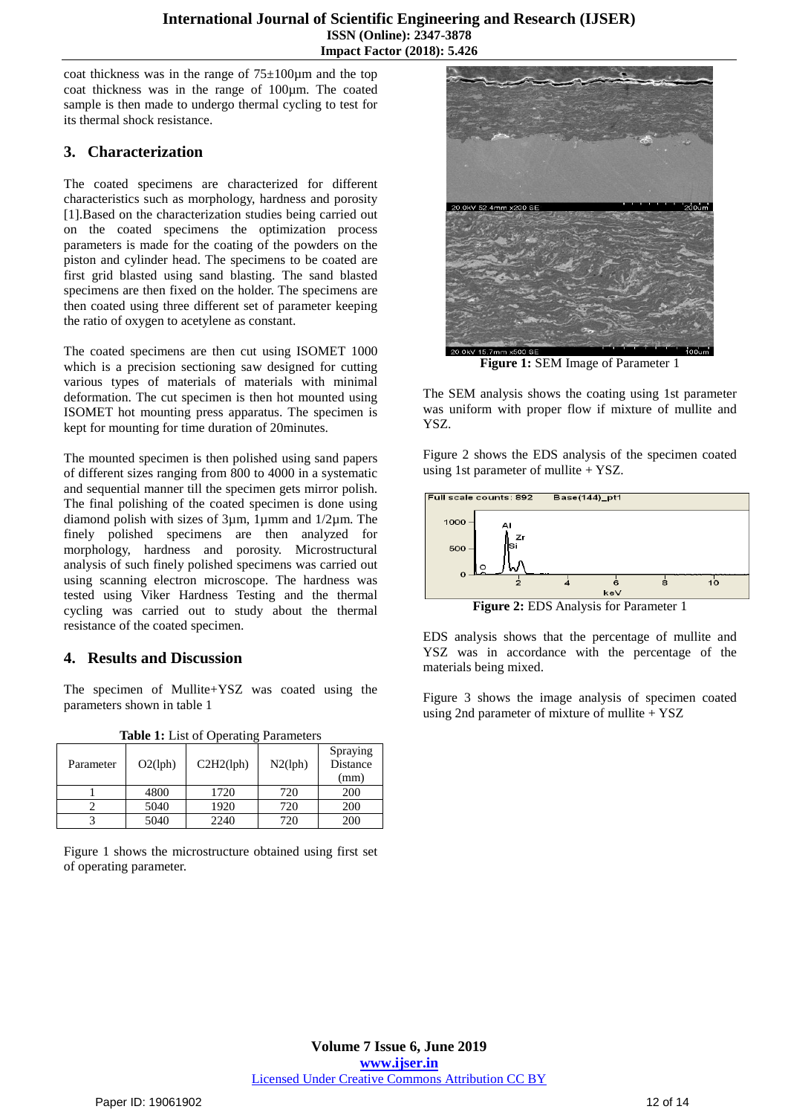coat thickness was in the range of  $75\pm100\mu$ m and the top coat thickness was in the range of 100µm. The coated sample is then made to undergo thermal cycling to test for its thermal shock resistance.

# **3. Characterization**

The coated specimens are characterized for different characteristics such as morphology, hardness and porosity [1].Based on the characterization studies being carried out on the coated specimens the optimization process parameters is made for the coating of the powders on the piston and cylinder head. The specimens to be coated are first grid blasted using sand blasting. The sand blasted specimens are then fixed on the holder. The specimens are then coated using three different set of parameter keeping the ratio of oxygen to acetylene as constant.

The coated specimens are then cut using ISOMET 1000 which is a precision sectioning saw designed for cutting various types of materials of materials with minimal deformation. The cut specimen is then hot mounted using ISOMET hot mounting press apparatus. The specimen is kept for mounting for time duration of 20minutes.

The mounted specimen is then polished using sand papers of different sizes ranging from 800 to 4000 in a systematic and sequential manner till the specimen gets mirror polish. The final polishing of the coated specimen is done using diamond polish with sizes of 3µm, 1µmm and 1/2µm. The finely polished specimens are then analyzed for morphology, hardness and porosity. Microstructural analysis of such finely polished specimens was carried out using scanning electron microscope. The hardness was tested using Viker Hardness Testing and the thermal cycling was carried out to study about the thermal resistance of the coated specimen.

# **4. Results and Discussion**

The specimen of Mullite+YSZ was coated using the parameters shown in table 1

Parameter | O2(lph) | C2H2(lph) | N2(lph) Spraying Distance (mm) 1 4800 1720 720 200 2 | 5040 | 1920 | 720 | 200 3 5040 2240 720 200

**Table 1:** List of Operating Parameters

Figure 1 shows the microstructure obtained using first set of operating parameter.



**Figure 1:** SEM Image of Parameter 1

The SEM analysis shows the coating using 1st parameter was uniform with proper flow if mixture of mullite and YSZ.

Figure 2 shows the EDS analysis of the specimen coated using 1st parameter of mullite  $+$  YSZ.





EDS analysis shows that the percentage of mullite and YSZ was in accordance with the percentage of the materials being mixed.

Figure 3 shows the image analysis of specimen coated using 2nd parameter of mixture of mullite  $+$  YSZ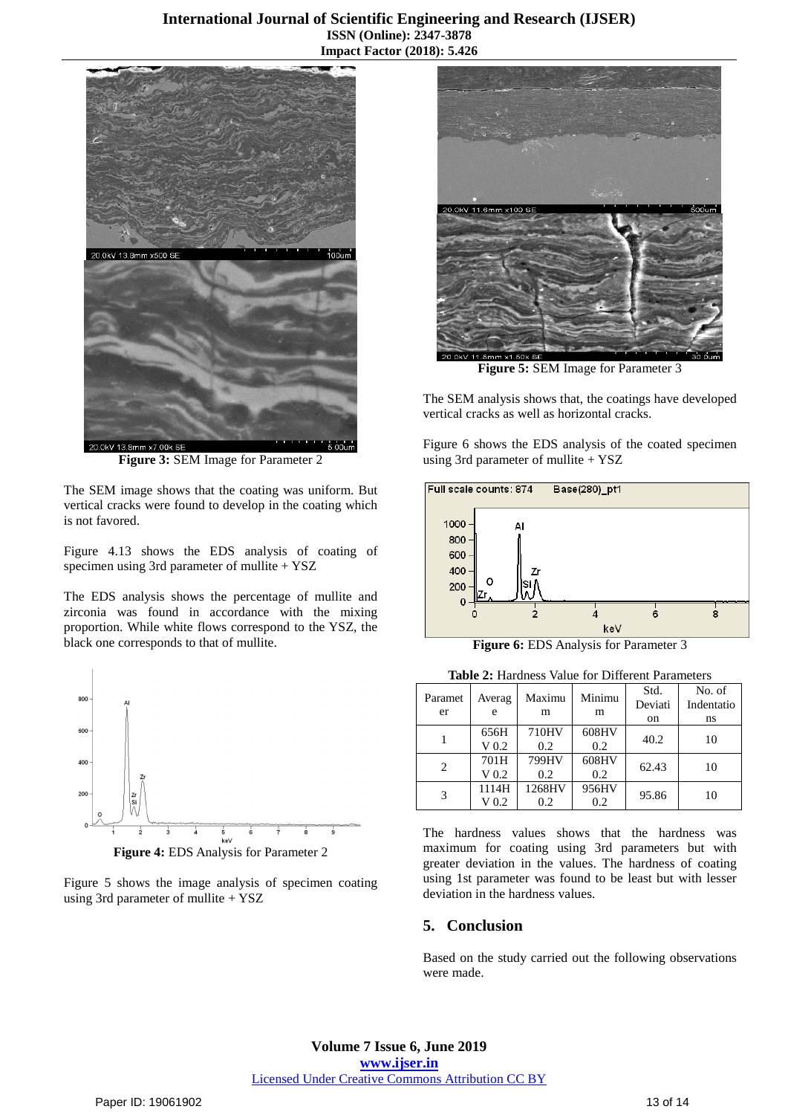#### **International Journal of Scientific Engineering and Research (IJSER) ISSN (Online): 2347-3878 Impact Factor (2018): 5.426**



**Figure 3:** SEM Image for Parameter 2

The SEM image shows that the coating was uniform. But vertical cracks were found to develop in the coating which is not favored.

Figure 4.13 shows the EDS analysis of coating of specimen using 3rd parameter of mullite + YSZ

The EDS analysis shows the percentage of mullite and zirconia was found in accordance with the mixing proportion. While white flows correspond to the YSZ, the black one corresponds to that of mullite.



Figure 5 shows the image analysis of specimen coating using 3rd parameter of mullite + YSZ



**Figure 5:** SEM Image for Parameter 3

The SEM analysis shows that, the coatings have developed vertical cracks as well as horizontal cracks.

Figure 6 shows the EDS analysis of the coated specimen using 3rd parameter of mullite + YSZ



**Figure 6: EDS Analysis for Parameter 3** 

**Table 2:** Hardness Value for Different Parameters

| Paramet<br>er | Averag<br>e               | Maximu<br>m   | Minimu<br>m  | Std.<br>Deviati<br>on | No. of<br>Indentatio<br>ns |
|---------------|---------------------------|---------------|--------------|-----------------------|----------------------------|
|               | 656H<br>V <sub>0.2</sub>  | 710HV<br>0.2  | 608HV<br>0.2 | 40.2                  | 10                         |
| 2             | 701H<br>V <sub>0.2</sub>  | 799HV<br>0.2  | 608HV<br>0.2 | 62.43                 | 10                         |
| 3             | 1114H<br>V <sub>0.2</sub> | 1268HV<br>0.2 | 956HV<br>0.2 | 95.86                 | 10                         |

The hardness values shows that the hardness was maximum for coating using 3rd parameters but with greater deviation in the values. The hardness of coating using 1st parameter was found to be least but with lesser deviation in the hardness values.

#### **5. Conclusion**

Based on the study carried out the following observations were made.